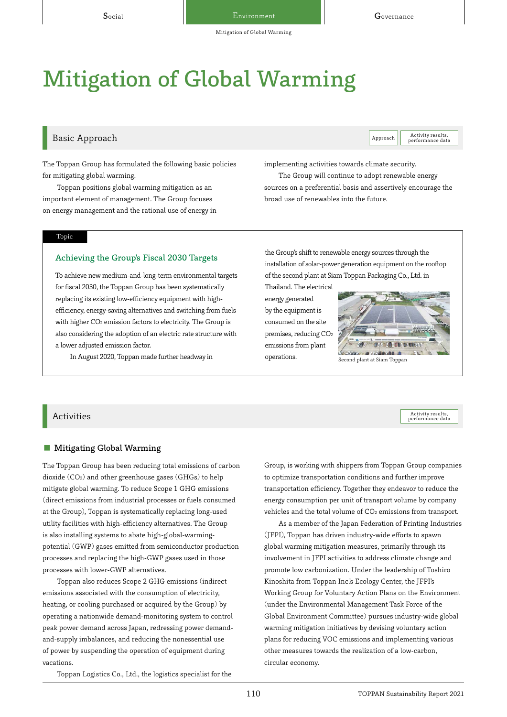# Mitigation of Global Warming

# Basic Approach Activity results, and the contract of the contract of the contract of the contract of the contract of the contract of the contract of the contract of the contract of the contract of the contract of the contr

Activity results,<br>performance data

The Toppan Group has formulated the following basic policies for mitigating global warming.

Toppan positions global warming mitigation as an important element of management. The Group focuses on energy management and the rational use of energy in

#### Topic

#### Achieving the Group's Fiscal 2030 Targets

To achieve new medium-and-long-term environmental targets for fiscal 2030, the Toppan Group has been systematically replacing its existing low-efficiency equipment with highefficiency, energy-saving alternatives and switching from fuels with higher CO<sub>2</sub> emission factors to electricity. The Group is also considering the adoption of an electric rate structure with a lower adjusted emission factor.

In August 2020, Toppan made further headway in

implementing activities towards climate security.

The Group will continue to adopt renewable energy sources on a preferential basis and assertively encourage the broad use of renewables into the future.

the Group's shift to renewable energy sources through the installation of solar-power generation equipment on the rooftop of the second plant at Siam Toppan Packaging Co., Ltd. in

Thailand. The electrical energy generated by the equipment is consumed on the site premises, reducing CO2 emissions from plant operations.



performance data

 $\rm{Activity}$  ties  $\rm{Activity}$  results,

#### ■ Mitigating Global Warming

The Toppan Group has been reducing total emissions of carbon dioxide (CO2) and other greenhouse gases (GHGs) to help mitigate global warming. To reduce Scope 1 GHG emissions (direct emissions from industrial processes or fuels consumed at the Group), Toppan is systematically replacing long-used utility facilities with high-efficiency alternatives. The Group is also installing systems to abate high-global-warmingpotential (GWP) gases emitted from semiconductor production processes and replacing the high-GWP gases used in those processes with lower-GWP alternatives.

Toppan also reduces Scope 2 GHG emissions (indirect emissions associated with the consumption of electricity, heating, or cooling purchased or acquired by the Group) by operating a nationwide demand-monitoring system to control peak power demand across Japan, redressing power demandand-supply imbalances, and reducing the nonessential use of power by suspending the operation of equipment during vacations.

Group, is working with shippers from Toppan Group companies to optimize transportation conditions and further improve transportation efficiency. Together they endeavor to reduce the energy consumption per unit of transport volume by company vehicles and the total volume of CO<sub>2</sub> emissions from transport.

As a member of the Japan Federation of Printing Industries (JFPI), Toppan has driven industry-wide efforts to spawn global warming mitigation measures, primarily through its involvement in JFPI activities to address climate change and promote low carbonization. Under the leadership of Toshiro Kinoshita from Toppan Inc.'s Ecology Center, the JFPI's Working Group for Voluntary Action Plans on the Environment (under the Environmental Management Task Force of the Global Environment Committee) pursues industry-wide global warming mitigation initiatives by devising voluntary action plans for reducing VOC emissions and implementing various other measures towards the realization of a low-carbon, circular economy.

Toppan Logistics Co., Ltd., the logistics specialist for the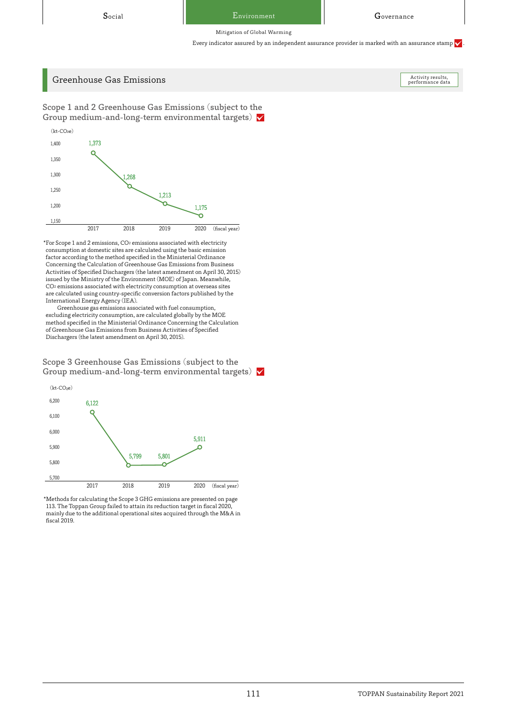Mitigation of Global Warming

Every indicator assured by an independent assurance provider is marked with an assurance stamp  $\checkmark$ 

# Greenhouse Gas Emissions

Activity results,<br>performance data

Scope 1 and 2 Greenhouse Gas Emissions (subject to the Group medium-and-long-term environmental targets)  $\sqrt{}$ 



\*For Scope 1 and 2 emissions, CO2 emissions associated with electricity consumption at domestic sites are calculated using the basic emission factor according to the method specified in the Ministerial Ordinance Concerning the Calculation of Greenhouse Gas Emissions from Business Activities of Specified Dischargers (the latest amendment on April 30, 2015) issued by the Ministry of the Environment (MOE) of Japan. Meanwhile, CO2 emissions associated with electricity consumption at overseas sites are calculated using country-specific conversion factors published by the International Energy Agency (IEA).

Greenhouse gas emissions associated with fuel consumption, excluding electricity consumption, are calculated globally by the MOE method specified in the Ministerial Ordinance Concerning the Calculation of Greenhouse Gas Emissions from Business Activities of Specified Dischargers (the latest amendment on April 30, 2015).

Scope 3 Greenhouse Gas Emissions (subject to the Group medium-and-long-term environmental targets)  $\sqrt{}$ 



\*Methods for calculating the Scope 3 GHG emissions are presented on page 113. The Toppan Group failed to attain its reduction target in fiscal 2020, mainly due to the additional operational sites acquired through the M&A in fiscal 2019.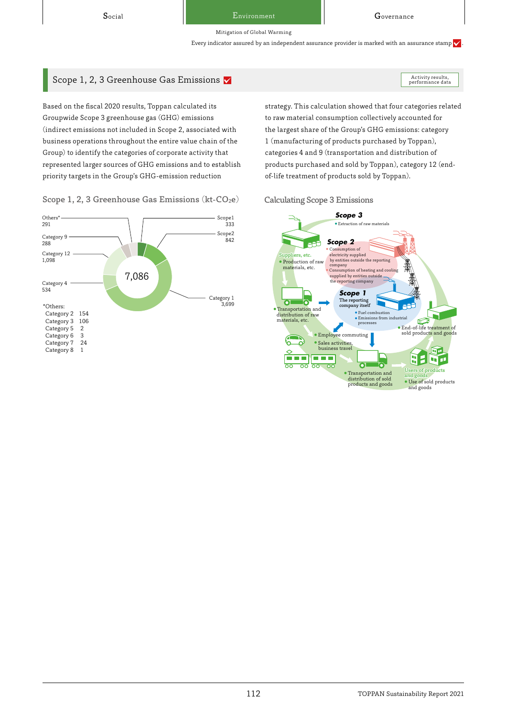Activity results,<br>performance data

Mitigation of Global Warming

Every indicator assured by an independent assurance provider is marked with an assurance stamp  $\checkmark$ 

# Scope 1, 2, 3 Greenhouse Gas Emissions  $\blacktriangledown$

Based on the fiscal 2020 results, Toppan calculated its Groupwide Scope 3 greenhouse gas (GHG) emissions (indirect emissions not included in Scope 2, associated with business operations throughout the entire value chain of the Group) to identify the categories of corporate activity that represented larger sources of GHG emissions and to establish priority targets in the Group's GHG-emission reduction

Category 1 cope2 3,699 842 Scope1 333 Category 9 288 Category 12 1,098 Category 4 534 Others\* 291 7,086 \*Others: Category 2 154<br>Category 3 106 Category 3 10<br>Category 5 2 Category 5 2<br>Category 6 3 Category 6 3<br>Category 7 24 Category 7 2<br>Category 8 1  $Categorical$ 

Scope 1, 2, 3 Greenhouse Gas Emissions ( $kt$ - $CO<sub>2</sub>e$ ) Calculating Scope 3 Emissions

strategy. This calculation showed that four categories related to raw material consumption collectively accounted for the largest share of the Group's GHG emissions: category 1 (manufacturing of products purchased by Toppan), categories 4 and 9 (transportation and distribution of products purchased and sold by Toppan), category 12 (endof-life treatment of products sold by Toppan).

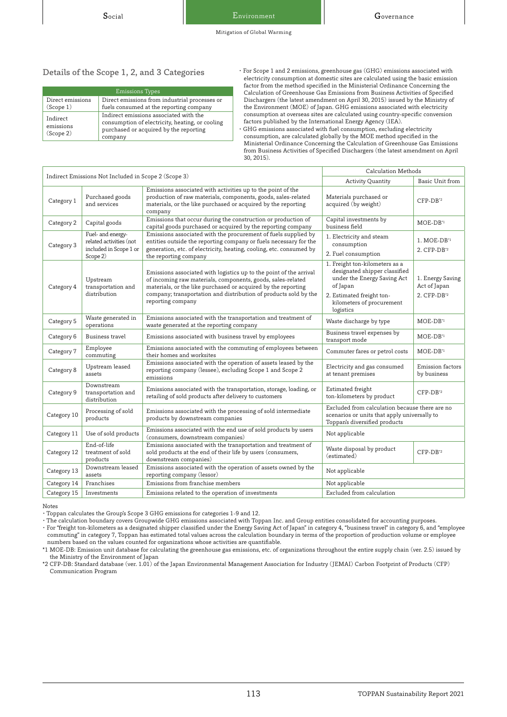# Details of the Scope 1, 2, and 3 Categories

| <b>Emissions Types</b>             |                                                                                                                                                |  |  |  |
|------------------------------------|------------------------------------------------------------------------------------------------------------------------------------------------|--|--|--|
| Direct emissions                   | Direct emissions from industrial processes or                                                                                                  |  |  |  |
| (Scope 1)                          | fuels consumed at the reporting company                                                                                                        |  |  |  |
| Indirect<br>emissions<br>(Scope 2) | Indirect emissions associated with the<br>consumption of electricity, heating, or cooling<br>purchased or acquired by the reporting<br>company |  |  |  |

・For Scope 1 and 2 emissions, greenhouse gas (GHG) emissions associated with electricity consumption at domestic sites are calculated using the basic emission factor from the method specified in the Ministerial Ordinance Concerning the Calculation of Greenhouse Gas Emissions from Business Activities of Specified Dischargers (the latest amendment on April 30, 2015) issued by the Ministry of the Environment (MOE) of Japan. GHG emissions associated with electricity consumption at overseas sites are calculated using country-specific conversion factors published by the International Energy Agency (IEA).

・GHG emissions associated with fuel consumption, excluding electricity consumption, are calculated globally by the MOE method specified in the Ministerial Ordinance Concerning the Calculation of Greenhouse Gas Emissions from Business Activities of Specified Dischargers (the latest amendment on April 30, 2015).

| Indirect Emissions Not Included in Scope 2 (Scope 3) |                                                                                    | Calculation Methods                                                                                                                                                                                                                                                                         |                                                                                                                                                                                   |                                                             |
|------------------------------------------------------|------------------------------------------------------------------------------------|---------------------------------------------------------------------------------------------------------------------------------------------------------------------------------------------------------------------------------------------------------------------------------------------|-----------------------------------------------------------------------------------------------------------------------------------------------------------------------------------|-------------------------------------------------------------|
|                                                      |                                                                                    | <b>Activity Quantity</b>                                                                                                                                                                                                                                                                    | Basic Unit from                                                                                                                                                                   |                                                             |
| Category 1                                           | Purchased goods<br>and services                                                    | Emissions associated with activities up to the point of the<br>production of raw materials, components, goods, sales-related<br>materials, or the like purchased or acquired by the reporting<br>company                                                                                    | Materials purchased or<br>acquired (by weight)                                                                                                                                    | $CFP-DB^{\star 2}$                                          |
| Category 2                                           | Capital goods                                                                      | Emissions that occur during the construction or production of<br>capital goods purchased or acquired by the reporting company                                                                                                                                                               | Capital investments by<br>business field                                                                                                                                          | $MOE-DB1$                                                   |
| Category 3                                           | Fuel- and energy-<br>related activities (not<br>included in Scope 1 or<br>Scope 2) | Emissions associated with the procurement of fuels supplied by<br>entities outside the reporting company or fuels necessary for the<br>generation, etc. of electricity, heating, cooling, etc. consumed by<br>the reporting company                                                         | 1. Electricity and steam<br>consumption<br>2. Fuel consumption                                                                                                                    | 1. MOE-DB'1<br>2. CFP-DB'2                                  |
| Category 4                                           | Upstream<br>transportation and<br>distribution                                     | Emissions associated with logistics up to the point of the arrival<br>of incoming raw materials, components, goods, sales-related<br>materials, or the like purchased or acquired by the reporting<br>company; transportation and distribution of products sold by the<br>reporting company | 1. Freight ton-kilometers as a<br>designated shipper classified<br>under the Energy Saving Act<br>of Japan<br>2. Estimated freight ton-<br>kilometers of procurement<br>logistics | 1. Energy Saving<br>Act of Japan<br>2. CFP-DB <sup>*2</sup> |
| Category 5                                           | Waste generated in<br>operations                                                   | Emissions associated with the transportation and treatment of<br>waste generated at the reporting company                                                                                                                                                                                   | Waste discharge by type                                                                                                                                                           | $MOE-DB1$                                                   |
| Category 6                                           | Business travel                                                                    | Emissions associated with business travel by employees                                                                                                                                                                                                                                      | Business travel expenses by<br>transport mode                                                                                                                                     | MOE-DB <sup>*1</sup>                                        |
| Category 7                                           | Employee<br>commuting                                                              | Emissions associated with the commuting of employees between<br>their homes and worksites                                                                                                                                                                                                   | Commuter fares or petrol costs                                                                                                                                                    | $MOE-DB1$                                                   |
| Category 8                                           | Upstream leased<br>assets                                                          | Emissions associated with the operation of assets leased by the<br>reporting company (lessee), excluding Scope 1 and Scope 2<br>emissions                                                                                                                                                   | Electricity and gas consumed<br>at tenant premises                                                                                                                                | Emission factors<br>by business                             |
| Category 9                                           | Downstream<br>transportation and<br>distribution                                   | Emissions associated with the transportation, storage, loading, or<br>retailing of sold products after delivery to customers                                                                                                                                                                | Estimated freight<br>ton-kilometers by product                                                                                                                                    | $CFP-DB^{\star 2}$                                          |
| Category 10                                          | Processing of sold<br>products                                                     | Emissions associated with the processing of sold intermediate<br>products by downstream companies                                                                                                                                                                                           | Excluded from calculation because there are no<br>scenarios or units that apply universally to<br>Toppan's diversified products                                                   |                                                             |
| Category 11                                          | Use of sold products                                                               | Emissions associated with the end use of sold products by users<br>(consumers, downstream companies)                                                                                                                                                                                        | Not applicable                                                                                                                                                                    |                                                             |
| Category 12                                          | End-of-life<br>treatment of sold<br>products                                       | Emissions associated with the transportation and treatment of<br>sold products at the end of their life by users (consumers,<br>downstream companies)                                                                                                                                       | Waste disposal by product<br>(estimated)                                                                                                                                          | CFP-DB <sup>*2</sup>                                        |
| Category 13                                          | Downstream leased<br>assets                                                        | Emissions associated with the operation of assets owned by the<br>reporting company (lessor)                                                                                                                                                                                                | Not applicable                                                                                                                                                                    |                                                             |
| Category 14                                          | Franchises                                                                         | Emissions from franchise members                                                                                                                                                                                                                                                            | Not applicable                                                                                                                                                                    |                                                             |
| Category 15                                          | Investments                                                                        | Emissions related to the operation of investments                                                                                                                                                                                                                                           | Excluded from calculation                                                                                                                                                         |                                                             |

Notes

・Toppan calculates the Group's Scope 3 GHG emissions for categories 1-9 and 12.

・The calculation boundary covers Groupwide GHG emissions associated with Toppan Inc. and Group entities consolidated for accounting purposes. ・ For "freight ton-kilometers as a designated shipper classified under the Energy Saving Act of Japan" in category 4, "business travel" in category 6, and "employee commuting" in category 7, Toppan has estimated total values across the calculation boundary in terms of the proportion of production volume or employee numbers based on the values counted for organizations whose activities are quantifiable.

\*1 MOE-DB: Emission unit database for calculating the greenhouse gas emissions, etc. of organizations throughout the entire supply chain (ver. 2.5) issued by the Ministry of the Environment of Japan

\*2 CFP-DB: Standard database (ver. 1.01) of the Japan Environmental Management Association for Industry (JEMAI) Carbon Footprint of Products (CFP) Communication Program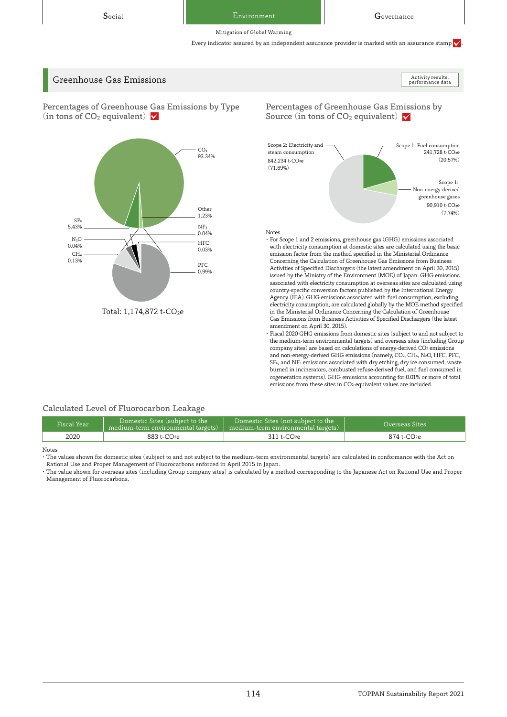Social Environment Governance Environment

performance data

Mitigation of Global Warming

Every indicator assured by an independent assurance provider is marked with an assurance stamp  $\checkmark$ 

# Greenhouse Gas Emissions Activity results, and the contract of the contract of the contract of the contract of the contract of the contract of the contract of the contract of the contract of the contract of the contract of

Percentages of Greenhouse Gas Emissions by Type (in tons of  $CO<sub>2</sub>$  equivalent)  $\sqrt{}$ 



Percentages of Greenhouse Gas Emissions by Source (in tons of  $CO<sub>2</sub>$  equivalent)  $\blacktriangledown$ 



Notes

- E Concerning the Calculation of Greenhouse Gas Emissions from Business ・For Scope 1 and 2 emissions, greenhouse gas (GHG) emissions associated with electricity consumption at domestic sites are calculated using the basic emission factor from the method specified in the Ministerial Ordinance Activities of Specified Dischargers (the latest amendment on April 30, 2015) issued by the Ministry of the Environment (MOE) of Japan. GHG emissions associated with electricity consumption at overseas sites are calculated using country-specific conversion factors published by the International Energy Agency (IEA). GHG emissions associated with fuel consumption, excluding electricity consumption, are calculated globally by the MOE method specified in the Ministerial Ordinance Concerning the Calculation of Greenhouse Gas Emissions from Business Activities of Specified Dischargers (the latest amendment on April 30, 2015).
- ・Fiscal 2020 GHG emissions from domestic sites (subject to and not subject to the medium-term environmental targets) and overseas sites (including Group company sites) are based on calculations of energy-derived CO2 emissions and non-energy-derived GHG emissions (namely, CO2, CH4, N2O, HFC, PFC, SF6, and NF3 emissions associated with dry etching, dry ice consumed, waste burned in incinerators, combusted refuse-derived fuel, and fuel consumed in cogeneration systems). GHG emissions accounting for 0.01% or more of total emissions from these sites in CO2-equivalent values are included.

# Calculated Level of Fluorocarbon Leakage

| Fiscal Year' | Domestic Sites (subject to the<br>medium-term environmental targets) | Domestic Sites (not subject to the<br>medium-term environmental targets) | Overseas Sites |
|--------------|----------------------------------------------------------------------|--------------------------------------------------------------------------|----------------|
| 2020         | 883 t-CO2e                                                           | $311 + CO2e$                                                             | $874 + CO2e$   |

Notes

・The values shown for domestic sites (subject to and not subject to the medium-term environmental targets) are calculated in conformance with the Act on Rational Use and Proper Management of Fluorocarbons enforced in April 2015 in Japan.

・The value shown for overseas sites (including Group company sites) is calculated by a method corresponding to the Japanese Act on Rational Use and Proper Management of Fluorocarbons.